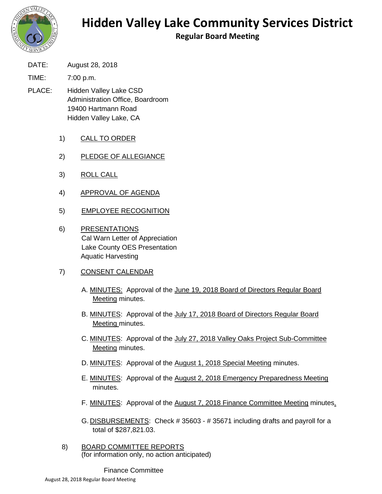

## **Hidden Valley Lake Community Services District**

**Regular Board Meeting**

DATE: August 28, 2018

TIME: 7:00 p.m.

PLACE: Hidden Valley Lake CSD Administration Office, Boardroom 19400 Hartmann Road Hidden Valley Lake, CA

- 1) CALL TO ORDER
- 2) PLEDGE OF ALLEGIANCE
- 3) ROLL CALL
- 4) APPROVAL OF AGENDA
- 5) EMPLOYEE RECOGNITION
- 6) PRESENTATIONS Cal Warn Letter of Appreciation Lake County OES Presentation Aquatic Harvesting
- 7) CONSENT CALENDAR
	- A. **MINUTES:** Approval of the June 19, 2018 Board of Directors Regular Board Meeting minutes.
	- B. MINUTES: Approval of the July 17, 2018 Board of Directors Regular Board Meeting minutes.
	- C. MINUTES: Approval of the July 27, 2018 Valley Oaks Project Sub-Committee Meeting minutes.
	- D. MINUTES: Approval of the August 1, 2018 Special Meeting minutes.
	- E. MINUTES: Approval of the August 2, 2018 Emergency Preparedness Meeting minutes.
	- F. MINUTES: Approval of the August 7, 2018 Finance Committee Meeting minutes.
	- G. **DISBURSEMENTS:** Check # 35603 # 35671 including drafts and payroll for a total of \$287,821.03.
- 8) BOARD COMMITTEE REPORTS (for information only, no action anticipated)

Finance Committee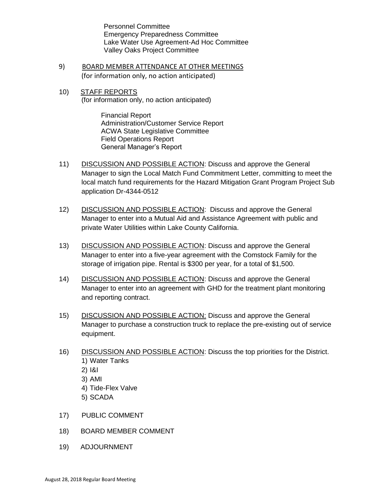Personnel Committee Emergency Preparedness Committee Lake Water Use Agreement-Ad Hoc Committee Valley Oaks Project Committee

- 9) BOARD MEMBER ATTENDANCE AT OTHER MEETINGS (for information only, no action anticipated)
- 10) STAFF REPORTS (for information only, no action anticipated)

Financial Report Administration/Customer Service Report ACWA State Legislative Committee Field Operations Report General Manager's Report

- 11) DISCUSSION AND POSSIBLE ACTION: Discuss and approve the General Manager to sign the Local Match Fund Commitment Letter, committing to meet the local match fund requirements for the Hazard Mitigation Grant Program Project Sub application Dr-4344-0512
- 12) DISCUSSION AND POSSIBLE ACTION: Discuss and approve the General Manager to enter into a Mutual Aid and Assistance Agreement with public and private Water Utilities within Lake County California.
- 13) DISCUSSION AND POSSIBLE ACTION: Discuss and approve the General Manager to enter into a five-year agreement with the Comstock Family for the storage of irrigation pipe. Rental is \$300 per year, for a total of \$1,500.
- 14) DISCUSSION AND POSSIBLE ACTION: Discuss and approve the General Manager to enter into an agreement with GHD for the treatment plant monitoring and reporting contract.
- 15) DISCUSSION AND POSSIBLE ACTION: Discuss and approve the General Manager to purchase a construction truck to replace the pre-existing out of service equipment.
- 16) DISCUSSION AND POSSIBLE ACTION: Discuss the top priorities for the District. 1) Water Tanks 2) I&I
	- 3) AMI
	- 4) Tide-Flex Valve
	- 5) SCADA
- 17) PUBLIC COMMENT
- 18) BOARD MEMBER COMMENT
- 19) ADJOURNMENT